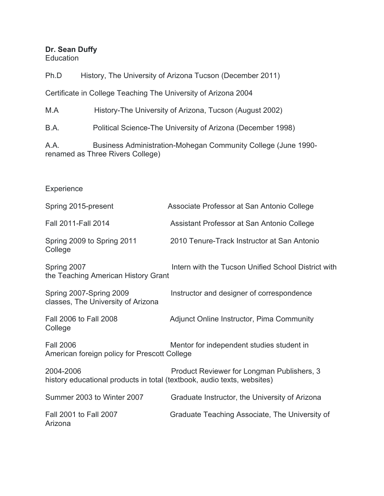# **Dr. Sean Duffy**

**Education** 

Ph.D History, The University of Arizona Tucson (December 2011)

Certificate in College Teaching The University of Arizona 2004

M.A History-The University of Arizona, Tucson (August 2002)

B.A. Political Science-The University of Arizona (December 1998)

A.A. Business Administration-Mohegan Community College (June 1990 renamed as Three Rivers College)

# **Experience**

| Spring 2015-present                                                                  | Associate Professor at San Antonio College          |
|--------------------------------------------------------------------------------------|-----------------------------------------------------|
| Fall 2011-Fall 2014                                                                  | Assistant Professor at San Antonio College          |
| Spring 2009 to Spring 2011<br>College                                                | 2010 Tenure-Track Instructor at San Antonio         |
| Spring 2007<br>the Teaching American History Grant                                   | Intern with the Tucson Unified School District with |
| Spring 2007-Spring 2009<br>classes, The University of Arizona                        | Instructor and designer of correspondence           |
| Fall 2006 to Fall 2008<br>College                                                    | Adjunct Online Instructor, Pima Community           |
| <b>Fall 2006</b><br>American foreign policy for Prescott College                     | Mentor for independent studies student in           |
| 2004-2006<br>history educational products in total (textbook, audio texts, websites) | Product Reviewer for Longman Publishers, 3          |
| Summer 2003 to Winter 2007                                                           | Graduate Instructor, the University of Arizona      |
| Fall 2001 to Fall 2007<br>Arizona                                                    | Graduate Teaching Associate, The University of      |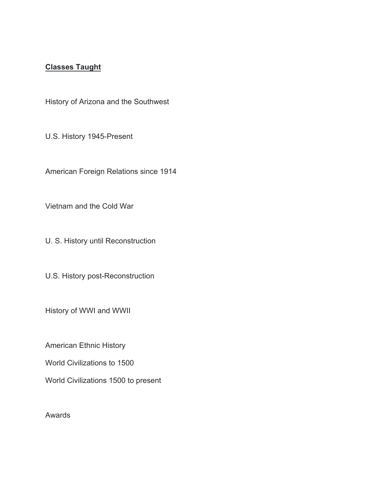# **Classes Taught**

History of Arizona and the Southwest

U.S. History 1945-Present

American Foreign Relations since 1914

Vietnam and the Cold War

U. S. History until Reconstruction

U.S. History post-Reconstruction

History of WWI and WWII

American Ethnic History

World Civilizations to 1500

World Civilizations 1500 to present

Awards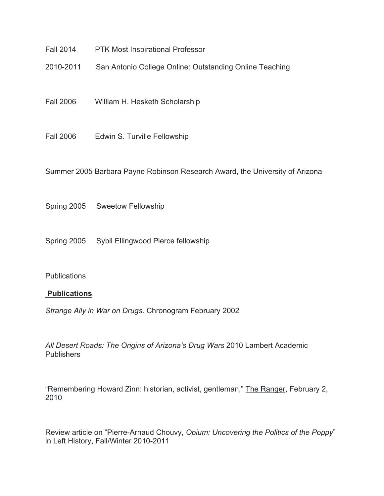- Fall 2014 PTK Most Inspirational Professor
- 2010-2011 San Antonio College Online: Outstanding Online Teaching
- Fall 2006 William H. Hesketh Scholarship
- Fall 2006 Edwin S. Turville Fellowship

Summer 2005 Barbara Payne Robinson Research Award, the University of Arizona

Spring 2005 Sweetow Fellowship

Spring 2005 Sybil Ellingwood Pierce fellowship

#### **Publications**

#### **Publications**

*Strange Ally in War on Drugs*. Chronogram February 2002

*All Desert Roads: The Origins of Arizona's Drug Wars* 2010 Lambert Academic **Publishers** 

"Remembering Howard Zinn: historian, activist, gentleman," The Ranger, February 2, 2010

Review article on "Pierre-Arnaud Chouvy, *Opium: Uncovering the Politics of the Poppy*" in Left History, Fall/Winter 2010-2011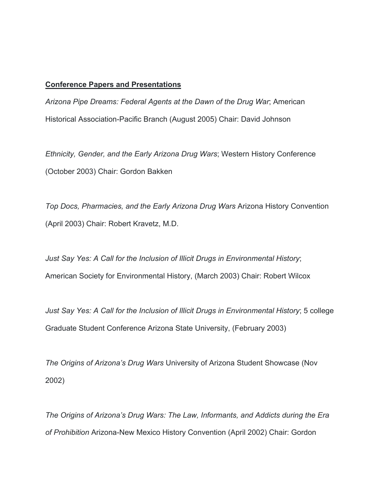#### **Conference Papers and Presentations**

*Arizona Pipe Dreams: Federal Agents at the Dawn of the Drug War*; American Historical Association-Pacific Branch (August 2005) Chair: David Johnson

*Ethnicity, Gender, and the Early Arizona Drug Wars*; Western History Conference (October 2003) Chair: Gordon Bakken

*Top Docs, Pharmacies, and the Early Arizona Drug Wars* Arizona History Convention (April 2003) Chair: Robert Kravetz, M.D.

*Just Say Yes: A Call for the Inclusion of Illicit Drugs in Environmental History*; American Society for Environmental History, (March 2003) Chair: Robert Wilcox

*Just Say Yes: A Call for the Inclusion of Illicit Drugs in Environmental History*; 5 college Graduate Student Conference Arizona State University, (February 2003)

*The Origins of Arizona's Drug Wars* University of Arizona Student Showcase (Nov 2002)

*The Origins of Arizona's Drug Wars: The Law, Informants, and Addicts during the Era of Prohibition* Arizona-New Mexico History Convention (April 2002) Chair: Gordon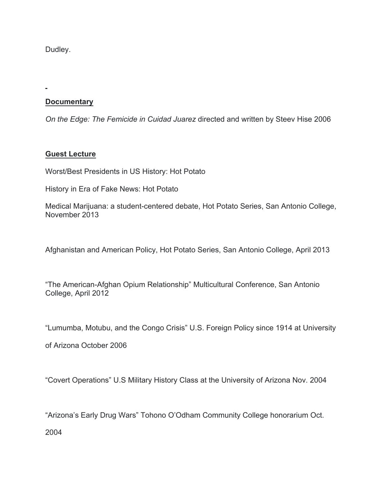Dudley.

# **Documentary**

*On the Edge: The Femicide in Cuidad Juarez* directed and written by Steev Hise 2006

## **Guest Lecture**

Worst/Best Presidents in US History: Hot Potato

History in Era of Fake News: Hot Potato

Medical Marijuana: a student-centered debate, Hot Potato Series, San Antonio College, November 2013

Afghanistan and American Policy, Hot Potato Series, San Antonio College, April 2013

"The American-Afghan Opium Relationship" Multicultural Conference, San Antonio College, April 2012

"Lumumba, Motubu, and the Congo Crisis" U.S. Foreign Policy since 1914 at University

of Arizona October 2006

"Covert Operations" U.S Military History Class at the University of Arizona Nov. 2004

"Arizona's Early Drug Wars" Tohono O'Odham Community College honorarium Oct.

2004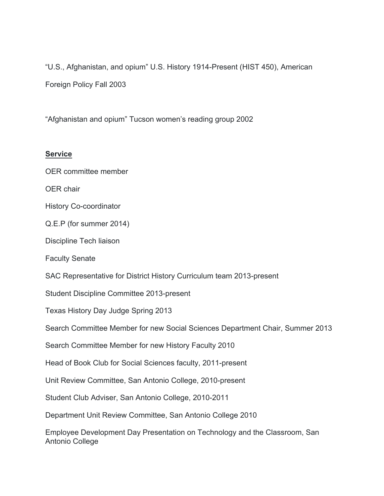"U.S., Afghanistan, and opium" U.S. History 1914-Present (HIST 450), American Foreign Policy Fall 2003

"Afghanistan and opium" Tucson women's reading group 2002

## **Service**

OER committee member

OER chair

History Co-coordinator

Q.E.P (for summer 2014)

Discipline Tech liaison

Faculty Senate

SAC Representative for District History Curriculum team 2013-present

Student Discipline Committee 2013-present

Texas History Day Judge Spring 2013

Search Committee Member for new Social Sciences Department Chair, Summer 2013

Search Committee Member for new History Faculty 2010

Head of Book Club for Social Sciences faculty, 2011-present

Unit Review Committee, San Antonio College, 2010-present

Student Club Adviser, San Antonio College, 2010-2011

Department Unit Review Committee, San Antonio College 2010

Employee Development Day Presentation on Technology and the Classroom, San Antonio College